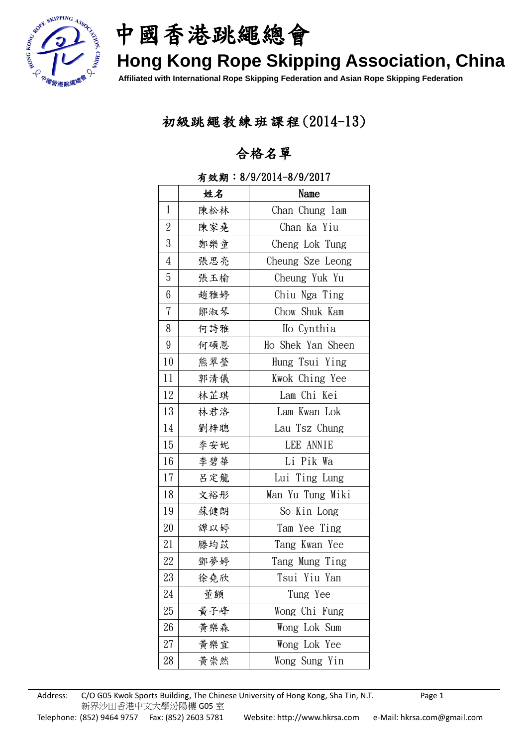

中國香港跳繩總會

# **Hong Kong Rope Skipping Association, China**

**Affiliated with International Rope Skipping Federation and Asian Rope Skipping Federation**

### 初級跳繩教練班課程(2014-13)

### 合格名單

|                  | 姓名  | Name              |
|------------------|-----|-------------------|
| $\mathbf{1}$     | 陳松林 | Chan Chung lam    |
| $\sqrt{2}$       | 陳家堯 | Chan Ka Yiu       |
| $\mathfrak{Z}$   | 鄭樂童 | Cheng Lok Tung    |
| $\overline{4}$   | 張思亮 | Cheung Sze Leong  |
| $\bf 5$          | 張玉榆 | Cheung Yuk Yu     |
| $6\phantom{.}6$  | 趙雅婷 | Chiu Nga Ting     |
| $\overline{7}$   | 鄒淑琴 | Chow Shuk Kam     |
| 8                | 何詩雅 | Ho Cynthia        |
| $\boldsymbol{9}$ | 何碩恩 | Ho Shek Yan Sheen |
| 10               | 熊翠瑩 | Hung Tsui Ying    |
| 11               | 郭清儀 | Kwok Ching Yee    |
| 12               | 林芷琪 | Lam Chi Kei       |
| 13               | 林君洛 | Lam Kwan Lok      |
| 14               | 劉梓聰 | Lau Tsz Chung     |
| 15               | 李安妮 | LEE ANNIE         |
| 16               | 李碧華 | Li Pik Wa         |
| 17               | 呂定龍 | Lui Ting Lung     |
| 18               | 文裕彤 | Man Yu Tung Miki  |
| 19               | 蘇健朗 | So Kin Long       |
| $20\,$           | 譚以婷 | Tam Yee Ting      |
| 21               | 滕均苡 | Tang Kwan Yee     |
| 22               | 鄧夢婷 | Tang Mung Ting    |
| 23               | 徐堯欣 | Tsui Yiu Yan      |
| 24               | 董顗  | Tung Yee          |
| 25               | 黄子峰 | Wong Chi Fung     |
| $26\,$           | 黄樂森 | Wong Lok Sum      |
| $27\,$           | 黃樂宜 | Wong Lok Yee      |
| 28               | 黄崇然 | Wong Sung Yin     |

#### 有效期:8/9/2014-8/9/2017

Address: C/O G05 Kwok Sports Building, The Chinese University of Hong Kong, Sha Tin, N.T. Page 1 新界沙田香港中文大學汾陽樓 G05 室 Telephone: (852) 9464 9757 Fax: (852) 2603 5781 Website: http://www.hkrsa.com e-Mail: hkrsa.com@gmail.com